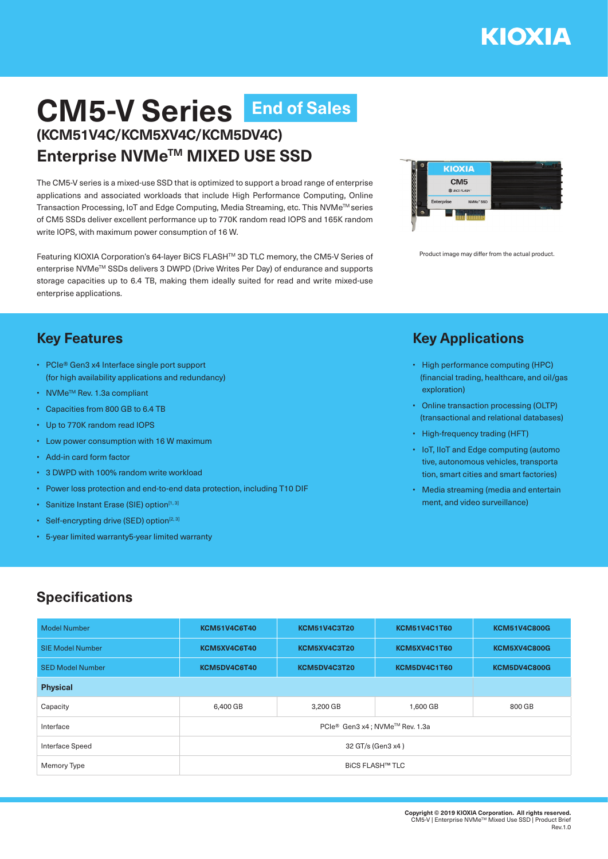# **CM5-V Series End of Sales(KCM51V4C/KCM5XV4C/KCM5DV4C) Enterprise NVMeTM MIXED USE SSD**

The CM5-V series is a mixed-use SSD that is optimized to support a broad range of enterprise applications and associated workloads that include High Performance Computing, Online Transaction Processing, IoT and Edge Computing, Media Streaming, etc. This NVMe™ series of CM5 SSDs deliver excellent performance up to 770K random read IOPS and 165K random write IOPS, with maximum power consumption of 16 W.

Featuring KIOXIA Corporation's 64-layer BiCS FLASHTM 3D TLC memory, the CM5-V Series of enterprise NVMeTM SSDs delivers 3 DWPD (Drive Writes Per Day) of endurance and supports storage capacities up to 6.4 TB, making them ideally suited for read and write mixed-use enterprise applications.



Product image may differ from the actual product.

## **Key Features**

- PCIe® Gen3 x4 Interface single port support (for high availability applications and redundancy)
- NVMeTM Rev. 1.3a compliant
- Capacities from 800 GB to 6.4 TB
- Up to 770K random read IOPS
- Low power consumption with 16 W maximum
- Add-in card form factor
- 3 DWPD with 100% random write workload
- Power loss protection and end-to-end data protection, including T10 DIF
- Sanitize Instant Erase (SIE) option<sup>[1, 3]</sup>
- Self-encrypting drive (SED) option $[2, 3]$
- 5-year limited warranty5-year limited warranty

#### **Key Applications**

- High performance computing (HPC) (financial trading, healthcare, and oil/gas exploration)
- Online transaction processing (OLTP) (transactional and relational databases)
- High-frequency trading (HFT)
- IoT, IIoT and Edge computing (automo tive, autonomous vehicles, transporta tion, smart cities and smart factories)
- Media streaming (media and entertain ment, and video surveillance)

## **Specifications**

| <b>Model Number</b>     | <b>KCM51V4C6T40</b>            | <b>KCM51V4C3T20</b> | <b>KCM51V4C1T60</b> | <b>KCM51V4C800G</b> |  |  |
|-------------------------|--------------------------------|---------------------|---------------------|---------------------|--|--|
| <b>SIE Model Number</b> | KCM5XV4C6T40                   | KCM5XV4C3T20        | KCM5XV4C1T60        | KCM5XV4C800G        |  |  |
| <b>SED Model Number</b> | KCM5DV4C6T40                   | KCM5DV4C3T20        | KCM5DV4C1T60        | KCM5DV4C800G        |  |  |
| <b>Physical</b>         |                                |                     |                     |                     |  |  |
| Capacity                | 6,400 GB                       | 3,200 GB            | 1,600 GB            | 800 GB              |  |  |
| Interface               | PCIe® Gen3 x4; NVMe™ Rev. 1.3a |                     |                     |                     |  |  |
| <b>Interface Speed</b>  | 32 GT/s (Gen3 x4)              |                     |                     |                     |  |  |
| Memory Type             | <b>BICS FLASH™ TLC</b>         |                     |                     |                     |  |  |